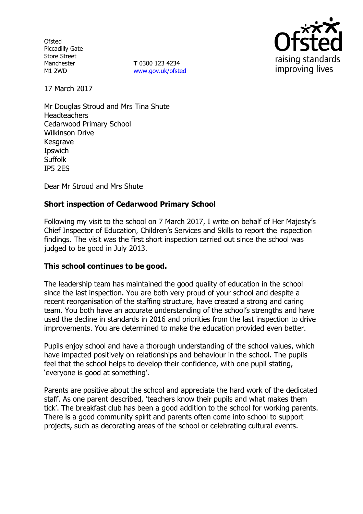**Ofsted** Piccadilly Gate Store Street Manchester M1 2WD

**T** 0300 123 4234 www.gov.uk/ofsted



17 March 2017

Mr Douglas Stroud and Mrs Tina Shute **Headteachers** Cedarwood Primary School Wilkinson Drive Kesgrave Ipswich **Suffolk** IP5 2ES

Dear Mr Stroud and Mrs Shute

### **Short inspection of Cedarwood Primary School**

Following my visit to the school on 7 March 2017, I write on behalf of Her Majesty's Chief Inspector of Education, Children's Services and Skills to report the inspection findings. The visit was the first short inspection carried out since the school was judged to be good in July 2013.

### **This school continues to be good.**

The leadership team has maintained the good quality of education in the school since the last inspection. You are both very proud of your school and despite a recent reorganisation of the staffing structure, have created a strong and caring team. You both have an accurate understanding of the school's strengths and have used the decline in standards in 2016 and priorities from the last inspection to drive improvements. You are determined to make the education provided even better.

Pupils enjoy school and have a thorough understanding of the school values, which have impacted positively on relationships and behaviour in the school. The pupils feel that the school helps to develop their confidence, with one pupil stating, 'everyone is good at something'.

Parents are positive about the school and appreciate the hard work of the dedicated staff. As one parent described, 'teachers know their pupils and what makes them tick'. The breakfast club has been a good addition to the school for working parents. There is a good community spirit and parents often come into school to support projects, such as decorating areas of the school or celebrating cultural events.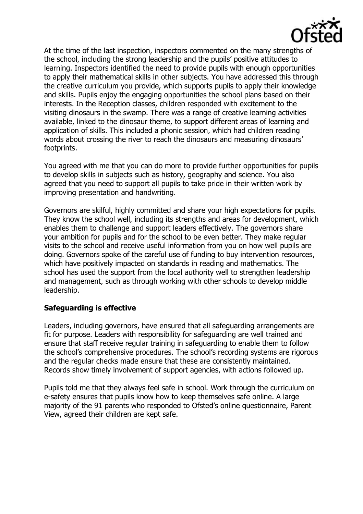

At the time of the last inspection, inspectors commented on the many strengths of the school, including the strong leadership and the pupils' positive attitudes to learning. Inspectors identified the need to provide pupils with enough opportunities to apply their mathematical skills in other subjects. You have addressed this through the creative curriculum you provide, which supports pupils to apply their knowledge and skills. Pupils enjoy the engaging opportunities the school plans based on their interests. In the Reception classes, children responded with excitement to the visiting dinosaurs in the swamp. There was a range of creative learning activities available, linked to the dinosaur theme, to support different areas of learning and application of skills. This included a phonic session, which had children reading words about crossing the river to reach the dinosaurs and measuring dinosaurs' footprints.

You agreed with me that you can do more to provide further opportunities for pupils to develop skills in subjects such as history, geography and science. You also agreed that you need to support all pupils to take pride in their written work by improving presentation and handwriting.

Governors are skilful, highly committed and share your high expectations for pupils. They know the school well, including its strengths and areas for development, which enables them to challenge and support leaders effectively. The governors share your ambition for pupils and for the school to be even better. They make regular visits to the school and receive useful information from you on how well pupils are doing. Governors spoke of the careful use of funding to buy intervention resources, which have positively impacted on standards in reading and mathematics. The school has used the support from the local authority well to strengthen leadership and management, such as through working with other schools to develop middle leadership.

# **Safeguarding is effective**

Leaders, including governors, have ensured that all safeguarding arrangements are fit for purpose. Leaders with responsibility for safeguarding are well trained and ensure that staff receive regular training in safeguarding to enable them to follow the school's comprehensive procedures. The school's recording systems are rigorous and the regular checks made ensure that these are consistently maintained. Records show timely involvement of support agencies, with actions followed up.

Pupils told me that they always feel safe in school. Work through the curriculum on e-safety ensures that pupils know how to keep themselves safe online. A large majority of the 91 parents who responded to Ofsted's online questionnaire, Parent View, agreed their children are kept safe.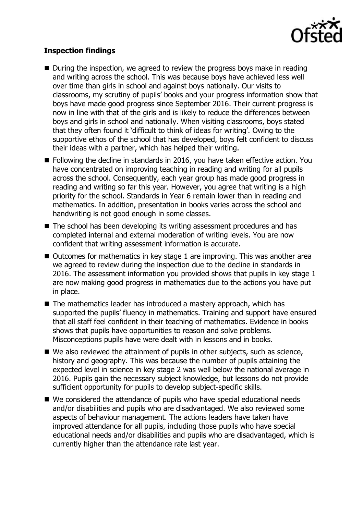

## **Inspection findings**

- During the inspection, we agreed to review the progress boys make in reading and writing across the school. This was because boys have achieved less well over time than girls in school and against boys nationally. Our visits to classrooms, my scrutiny of pupils' books and your progress information show that boys have made good progress since September 2016. Their current progress is now in line with that of the girls and is likely to reduce the differences between boys and girls in school and nationally. When visiting classrooms, boys stated that they often found it 'difficult to think of ideas for writing'. Owing to the supportive ethos of the school that has developed, boys felt confident to discuss their ideas with a partner, which has helped their writing.
- **Following the decline in standards in 2016, you have taken effective action. You** have concentrated on improving teaching in reading and writing for all pupils across the school. Consequently, each year group has made good progress in reading and writing so far this year. However, you agree that writing is a high priority for the school. Standards in Year 6 remain lower than in reading and mathematics. In addition, presentation in books varies across the school and handwriting is not good enough in some classes.
- The school has been developing its writing assessment procedures and has completed internal and external moderation of writing levels. You are now confident that writing assessment information is accurate.
- Outcomes for mathematics in key stage 1 are improving. This was another area we agreed to review during the inspection due to the decline in standards in 2016. The assessment information you provided shows that pupils in key stage 1 are now making good progress in mathematics due to the actions you have put in place.
- The mathematics leader has introduced a mastery approach, which has supported the pupils' fluency in mathematics. Training and support have ensured that all staff feel confident in their teaching of mathematics. Evidence in books shows that pupils have opportunities to reason and solve problems. Misconceptions pupils have were dealt with in lessons and in books.
- We also reviewed the attainment of pupils in other subjects, such as science, history and geography. This was because the number of pupils attaining the expected level in science in key stage 2 was well below the national average in 2016. Pupils gain the necessary subject knowledge, but lessons do not provide sufficient opportunity for pupils to develop subject-specific skills.
- We considered the attendance of pupils who have special educational needs and/or disabilities and pupils who are disadvantaged. We also reviewed some aspects of behaviour management. The actions leaders have taken have improved attendance for all pupils, including those pupils who have special educational needs and/or disabilities and pupils who are disadvantaged, which is currently higher than the attendance rate last year.